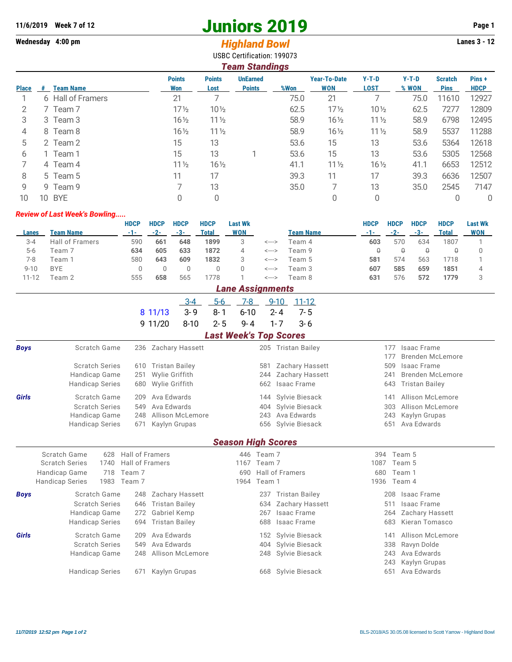## **11/6/2019** Week 7 of 12<br> **11/6/2019** Page 1<br> **11/6/2019** Page 1<br> **11/6/2019** Page 1<br> **11/6/2019** Page 1<br> **11/6/2019** Page 1<br> **11/6/2019** Page 1<br> **12/6/2019** Page 1

## Wednesday 4:00 pm<br> **Highland Bowl** USBC Certification: 199073

| <b>Team Standings</b> |                         |                      |                       |                                  |      |                                   |                        |                  |                               |                      |  |
|-----------------------|-------------------------|----------------------|-----------------------|----------------------------------|------|-----------------------------------|------------------------|------------------|-------------------------------|----------------------|--|
| <b>Place</b>          | <b>Team Name</b><br>- # | <b>Points</b><br>Won | <b>Points</b><br>Lost | <b>UnEarned</b><br><b>Points</b> | %Won | <b>Year-To-Date</b><br><b>WON</b> | $Y-T-D$<br><b>LOST</b> | $Y-T-D$<br>% WON | <b>Scratch</b><br><b>Pins</b> | Pins+<br><b>HDCP</b> |  |
|                       | 6 Hall of Framers       | 21                   |                       |                                  | 75.0 | 21                                |                        | 75.0             | 11610                         | 12927                |  |
| 2                     | Team <sub>7</sub>       | $17\frac{1}{2}$      | $10\frac{1}{2}$       |                                  | 62.5 | $17\frac{1}{2}$                   | $10\frac{1}{2}$        | 62.5             | 7277                          | 12809                |  |
| 3                     | 3 Team 3                | $16\frac{1}{2}$      | $11\frac{1}{2}$       |                                  | 58.9 | $16\frac{1}{2}$                   | $11\frac{1}{2}$        | 58.9             | 6798                          | 12495                |  |
| 4                     | 8 Team 8                | $16\frac{1}{2}$      | $11\frac{1}{2}$       |                                  | 58.9 | $16\frac{1}{2}$                   | $11\frac{1}{2}$        | 58.9             | 5537                          | 11288                |  |
| 5                     | 2 Team 2                | 15                   | 13                    |                                  | 53.6 | 15                                | 13                     | 53.6             | 5364                          | 12618                |  |
| 6                     | 1 Team 1                | 15                   | 13                    |                                  | 53.6 | 15                                | 13                     | 53.6             | 5305                          | 12568                |  |
|                       | 4 Team 4                | $11\frac{1}{2}$      | $16\frac{1}{2}$       |                                  | 41.1 | $11\frac{1}{2}$                   | $16\frac{1}{2}$        | 41.1             | 6653                          | 12512                |  |
| 8                     | 5 Team 5                | 11                   | 17                    |                                  | 39.3 | 11                                | 17                     | 39.3             | 6636                          | 12507                |  |
| 9                     | 9 Team 9                |                      | 13                    |                                  | 35.0 |                                   | 13                     | 35.0             | 2545                          | 7147                 |  |
| 10 <sup>°</sup>       | 10 BYE                  |                      | 0                     |                                  |      | 0                                 | 0                      |                  |                               | 0                    |  |

## *Review of Last Week's Bowling.....*

|          |                        | <b>HDCP</b> | <b>HDCP</b> | <b>HDCP</b> | <b>HDCP</b> | Last Wk |       |           | HDCP | <b>HDCP</b> | HDCP | <b>HDCP</b> | <b>Last Wk</b> |
|----------|------------------------|-------------|-------------|-------------|-------------|---------|-------|-----------|------|-------------|------|-------------|----------------|
| Lanes    | Team Name              | -1-         | $-2-$       | -3-         | Total       | WON     |       | Team Name | -1-  | $-2-$       | -3-  | Total       | <b>WON</b>     |
| $3 - 4$  | <b>Hall of Framers</b> | 590         | 661         | 648         | 1899        |         | <---> | Team 4    | 603  | 570         | 634  | 1807        |                |
| $5-6$    | Team 7                 | 634         | 605         | 633         | 1872        |         | <---> | Team 9    |      |             |      |             |                |
| 7-8      | Team 1                 | 580         | 643         | 609         | 1832        |         | <---> | Team 5    | 581  | 574         | 563  | 718         |                |
| $9 - 10$ | <b>BYE</b>             |             |             |             |             |         | <---> | Геаm З    | 607  | 585         | 659  | 1851        |                |
| 11-12    | Геаm 2                 | 555         | 658         | 565         | 778         |         | <---> | Team 8    | 631  | 576         | 572  | 1779        |                |

|              | <b>Lane Assignments</b>                  |                              |                     |                               |                                |  |  |  |  |  |  |  |  |
|--------------|------------------------------------------|------------------------------|---------------------|-------------------------------|--------------------------------|--|--|--|--|--|--|--|--|
|              |                                          | $3 - 4$                      | 7-8<br>$5-6$        | $9 - 10$<br>$11 - 12$         |                                |  |  |  |  |  |  |  |  |
|              |                                          | $3 - 9$<br>8 11/13           | $8 - 1$<br>$6 - 10$ | $2 - 4$<br>$7 - 5$            |                                |  |  |  |  |  |  |  |  |
|              |                                          | 9 11/20<br>$8 - 10$          | $2 - 5$<br>9-4      | $3 - 6$<br>$1 - 7$            |                                |  |  |  |  |  |  |  |  |
|              |                                          |                              |                     | <b>Last Week's Top Scores</b> |                                |  |  |  |  |  |  |  |  |
| <b>Boys</b>  | Scratch Game                             | 236 Zachary Hassett          |                     | 205 Tristan Bailey            | Isaac Frame<br>177             |  |  |  |  |  |  |  |  |
|              |                                          |                              |                     |                               | 177<br><b>Brenden McLemore</b> |  |  |  |  |  |  |  |  |
|              | <b>Scratch Series</b>                    | <b>Tristan Bailey</b><br>610 |                     | Zachary Hassett<br>581        | <b>Isaac Frame</b><br>509      |  |  |  |  |  |  |  |  |
|              | Handicap Game                            | Wylie Griffith<br>251        |                     | Zachary Hassett<br>244        | <b>Brenden McLemore</b><br>241 |  |  |  |  |  |  |  |  |
|              | <b>Handicap Series</b>                   | Wylie Griffith<br>680        |                     | Isaac Frame<br>662            | <b>Tristan Bailey</b><br>643   |  |  |  |  |  |  |  |  |
| <b>Girls</b> | Scratch Game                             | Ava Edwards<br>209           |                     | Sylvie Biesack<br>144         | Allison McLemore<br>141        |  |  |  |  |  |  |  |  |
|              | <b>Scratch Series</b>                    | Ava Edwards<br>549           |                     | Sylvie Biesack<br>404         | 303<br>Allison McLemore        |  |  |  |  |  |  |  |  |
|              | Handicap Game                            | Allison McLemore<br>248      |                     | Ava Edwards<br>243            | Kaylyn Grupas<br>243           |  |  |  |  |  |  |  |  |
|              | <b>Handicap Series</b>                   | 671<br>Kaylyn Grupas         |                     | 656<br>Sylvie Biesack         | Ava Edwards<br>651             |  |  |  |  |  |  |  |  |
|              |                                          |                              |                     | <b>Season High Scores</b>     |                                |  |  |  |  |  |  |  |  |
|              | Scratch Game<br>628                      | <b>Hall of Framers</b>       | 446                 | Team 7                        | Team 5<br>394                  |  |  |  |  |  |  |  |  |
|              | <b>Scratch Series</b><br>1740            | Hall of Framers              | 1167                | Team 7                        | Team 5<br>1087                 |  |  |  |  |  |  |  |  |
|              | 718<br>Handicap Game                     | Team 7                       | 690                 | Hall of Framers               | Team 1<br>680                  |  |  |  |  |  |  |  |  |
|              | 1983<br><b>Handicap Series</b><br>Team 7 |                              | 1964                | Team 1                        | Team 4<br>1936                 |  |  |  |  |  |  |  |  |
| <b>Boys</b>  | Scratch Game                             | Zachary Hassett<br>248       |                     | <b>Tristan Bailey</b><br>237  | Isaac Frame<br>208             |  |  |  |  |  |  |  |  |
|              | <b>Scratch Series</b>                    | <b>Tristan Bailey</b><br>646 |                     | Zachary Hassett<br>634        | <b>Isaac Frame</b><br>511      |  |  |  |  |  |  |  |  |
|              | Handicap Game                            | Gabriel Kemp<br>272          |                     | Isaac Frame<br>267            | <b>Zachary Hassett</b><br>264  |  |  |  |  |  |  |  |  |
|              | <b>Handicap Series</b>                   | <b>Tristan Bailey</b><br>694 |                     | 688<br><b>Isaac Frame</b>     | Kieran Tomasco<br>683          |  |  |  |  |  |  |  |  |
| <b>Girls</b> | Scratch Game                             | Ava Edwards<br>209           |                     | Sylvie Biesack<br>152         | Allison McLemore<br>141        |  |  |  |  |  |  |  |  |
|              | <b>Scratch Series</b>                    | Ava Fdwards<br>549           |                     | Sylvie Biesack<br>404         | 338<br>Ravyn Dolde             |  |  |  |  |  |  |  |  |
|              | Handicap Game                            | Allison McLemore<br>248      |                     | Sylvie Biesack<br>248         | Ava Edwards<br>243             |  |  |  |  |  |  |  |  |
|              |                                          |                              |                     |                               | Kaylyn Grupas<br>243           |  |  |  |  |  |  |  |  |
|              | <b>Handicap Series</b>                   | Kaylyn Grupas<br>671         |                     | 668 Sylvie Biesack            | Ava Edwards<br>651             |  |  |  |  |  |  |  |  |
|              |                                          |                              |                     |                               |                                |  |  |  |  |  |  |  |  |